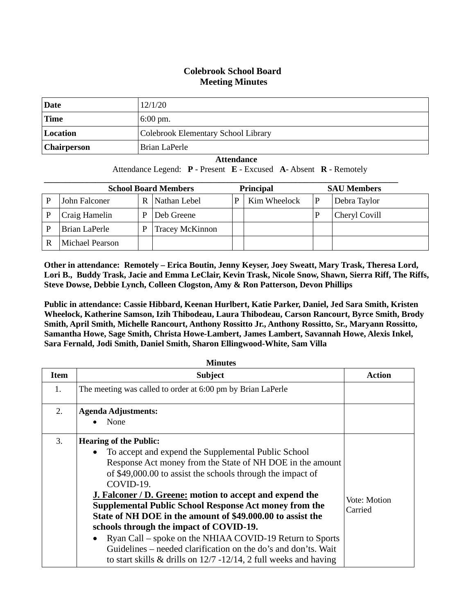## **Colebrook School Board Meeting Minutes**

| Date               | 12/1/20                             |
|--------------------|-------------------------------------|
| <b>Time</b>        | $6:00 \text{ pm}$ .                 |
| Location           | Colebrook Elementary School Library |
| <b>Chairperson</b> | Brian LaPerle                       |

#### **Attendance**

Attendance Legend: **P** - Present **E** - Excused **A**- Absent **R** - Remotely

| <b>School Board Members</b> |                 |   |                        | <b>Principal</b> |              | <b>SAU Members</b> |
|-----------------------------|-----------------|---|------------------------|------------------|--------------|--------------------|
|                             | John Falconer   | R | Nathan Lebel           |                  | Kim Wheelock | Debra Taylor       |
|                             | Craig Hamelin   | D | Deb Greene             |                  |              | Cheryl Covill      |
|                             | Brian LaPerle   | D | <b>Tracey McKinnon</b> |                  |              |                    |
|                             | Michael Pearson |   |                        |                  |              |                    |

**Other in attendance: Remotely – Erica Boutin, Jenny Keyser, Joey Sweatt, Mary Trask, Theresa Lord, Lori B., Buddy Trask, Jacie and Emma LeClair, Kevin Trask, Nicole Snow, Shawn, Sierra Riff, The Riffs, Steve Dowse, Debbie Lynch, Colleen Clogston, Amy & Ron Patterson, Devon Phillips**

**Public in attendance: Cassie Hibbard, Keenan Hurlbert, Katie Parker, Daniel, Jed Sara Smith, Kristen Wheelock, Katherine Samson, Izih Thibodeau, Laura Thibodeau, Carson Rancourt, Byrce Smith, Brody Smith, April Smith, Michelle Rancourt, Anthony Rossitto Jr., Anthony Rossitto, Sr., Maryann Rossitto, Samantha Howe, Sage Smith, Christa Howe-Lambert, James Lambert, Savannah Howe, Alexis Inkel, Sara Fernald, Jodi Smith, Daniel Smith, Sharon Ellingwood-White, Sam Villa**

| <b>Minutes</b> |                                                                                                                                                                                                                                                                                                                                                                                                                                                                                                                                                                                                                                                                                                          |                         |  |  |
|----------------|----------------------------------------------------------------------------------------------------------------------------------------------------------------------------------------------------------------------------------------------------------------------------------------------------------------------------------------------------------------------------------------------------------------------------------------------------------------------------------------------------------------------------------------------------------------------------------------------------------------------------------------------------------------------------------------------------------|-------------------------|--|--|
| <b>Item</b>    | <b>Subject</b>                                                                                                                                                                                                                                                                                                                                                                                                                                                                                                                                                                                                                                                                                           | <b>Action</b>           |  |  |
| 1.             | The meeting was called to order at 6:00 pm by Brian LaPerle                                                                                                                                                                                                                                                                                                                                                                                                                                                                                                                                                                                                                                              |                         |  |  |
| 2.             | <b>Agenda Adjustments:</b><br>None                                                                                                                                                                                                                                                                                                                                                                                                                                                                                                                                                                                                                                                                       |                         |  |  |
| 3.             | <b>Hearing of the Public:</b><br>To accept and expend the Supplemental Public School<br>$\bullet$<br>Response Act money from the State of NH DOE in the amount<br>of \$49,000.00 to assist the schools through the impact of<br>COVID-19.<br><b>J. Falconer / D. Greene: motion to accept and expend the</b><br><b>Supplemental Public School Response Act money from the</b><br>State of NH DOE in the amount of \$49,000.00 to assist the<br>schools through the impact of COVID-19.<br>Ryan Call – spoke on the NHIAA COVID-19 Return to Sports<br>$\bullet$<br>Guidelines – needed clarification on the do's and don'ts. Wait<br>to start skills $\&$ drills on 12/7 -12/14, 2 full weeks and having | Vote: Motion<br>Carried |  |  |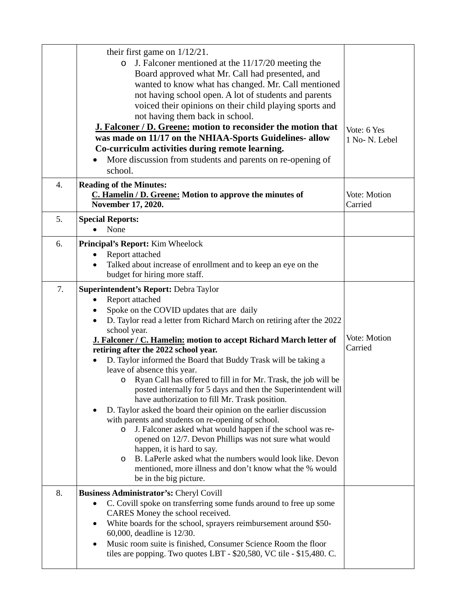|    | their first game on $1/12/21$ .<br>J. Falconer mentioned at the $11/17/20$ meeting the<br>O<br>Board approved what Mr. Call had presented, and<br>wanted to know what has changed. Mr. Call mentioned<br>not having school open. A lot of students and parents<br>voiced their opinions on their child playing sports and<br>not having them back in school.<br><b>J. Falconer / D. Greene: motion to reconsider the motion that</b><br>was made on 11/17 on the NHIAA-Sports Guidelines- allow                                                                                                                                                                                                                                                                                                                                                                                                                                                                                                                                                                        | Vote: 6 Yes<br>1 No- N. Lebel |
|----|------------------------------------------------------------------------------------------------------------------------------------------------------------------------------------------------------------------------------------------------------------------------------------------------------------------------------------------------------------------------------------------------------------------------------------------------------------------------------------------------------------------------------------------------------------------------------------------------------------------------------------------------------------------------------------------------------------------------------------------------------------------------------------------------------------------------------------------------------------------------------------------------------------------------------------------------------------------------------------------------------------------------------------------------------------------------|-------------------------------|
|    | Co-curriculm activities during remote learning.<br>More discussion from students and parents on re-opening of<br>school.                                                                                                                                                                                                                                                                                                                                                                                                                                                                                                                                                                                                                                                                                                                                                                                                                                                                                                                                               |                               |
| 4. | <b>Reading of the Minutes:</b><br>C. Hamelin / D. Greene: Motion to approve the minutes of<br>November 17, 2020.                                                                                                                                                                                                                                                                                                                                                                                                                                                                                                                                                                                                                                                                                                                                                                                                                                                                                                                                                       | Vote: Motion<br>Carried       |
| 5. | <b>Special Reports:</b><br>None                                                                                                                                                                                                                                                                                                                                                                                                                                                                                                                                                                                                                                                                                                                                                                                                                                                                                                                                                                                                                                        |                               |
| 6. | Principal's Report: Kim Wheelock<br>Report attached<br>$\bullet$<br>Talked about increase of enrollment and to keep an eye on the<br>budget for hiring more staff.                                                                                                                                                                                                                                                                                                                                                                                                                                                                                                                                                                                                                                                                                                                                                                                                                                                                                                     |                               |
| 7. | Superintendent's Report: Debra Taylor<br>Report attached<br>Spoke on the COVID updates that are daily<br>D. Taylor read a letter from Richard March on retiring after the 2022<br>school year.<br>J. Falconer / C. Hamelin: motion to accept Richard March letter of<br>retiring after the 2022 school year.<br>D. Taylor informed the Board that Buddy Trask will be taking a<br>$\bullet$<br>leave of absence this year.<br>Ryan Call has offered to fill in for Mr. Trask, the job will be<br>O<br>posted internally for 5 days and then the Superintendent will<br>have authorization to fill Mr. Trask position.<br>D. Taylor asked the board their opinion on the earlier discussion<br>with parents and students on re-opening of school.<br>J. Falconer asked what would happen if the school was re-<br>$\circ$<br>opened on 12/7. Devon Phillips was not sure what would<br>happen, it is hard to say.<br>B. LaPerle asked what the numbers would look like. Devon<br>O<br>mentioned, more illness and don't know what the % would<br>be in the big picture. | Vote: Motion<br>Carried       |
| 8. | <b>Business Administrator's: Cheryl Covill</b><br>C. Covill spoke on transferring some funds around to free up some<br>$\bullet$<br>CARES Money the school received.<br>White boards for the school, sprayers reimbursement around \$50-<br>$\bullet$<br>60,000, deadline is 12/30.<br>Music room suite is finished, Consumer Science Room the floor<br>$\bullet$<br>tiles are popping. Two quotes LBT - \$20,580, VC tile - \$15,480. C.                                                                                                                                                                                                                                                                                                                                                                                                                                                                                                                                                                                                                              |                               |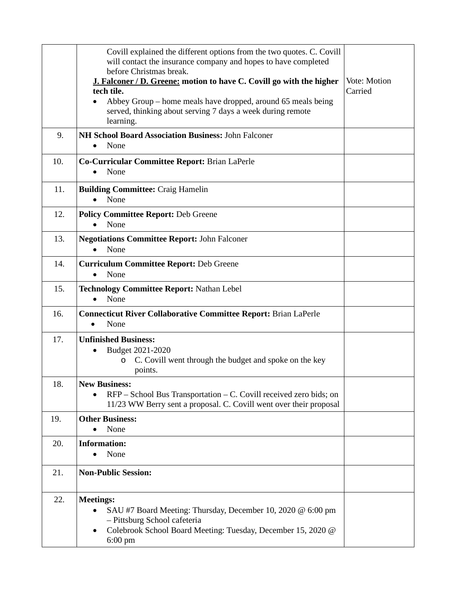|     | Covill explained the different options from the two quotes. C. Covill<br>will contact the insurance company and hopes to have completed<br>before Christmas break.<br>J. Falconer / D. Greene: motion to have C. Covill go with the higher<br>tech tile.<br>Abbey Group – home meals have dropped, around 65 meals being<br>served, thinking about serving 7 days a week during remote<br>learning. | Vote: Motion<br>Carried |
|-----|-----------------------------------------------------------------------------------------------------------------------------------------------------------------------------------------------------------------------------------------------------------------------------------------------------------------------------------------------------------------------------------------------------|-------------------------|
| 9.  | <b>NH School Board Association Business: John Falconer</b><br>None<br>$\bullet$                                                                                                                                                                                                                                                                                                                     |                         |
| 10. | Co-Curricular Committee Report: Brian LaPerle<br>None<br>$\bullet$                                                                                                                                                                                                                                                                                                                                  |                         |
| 11. | <b>Building Committee: Craig Hamelin</b><br>None<br>$\bullet$                                                                                                                                                                                                                                                                                                                                       |                         |
| 12. | <b>Policy Committee Report: Deb Greene</b><br>None                                                                                                                                                                                                                                                                                                                                                  |                         |
| 13. | <b>Negotiations Committee Report: John Falconer</b><br>None                                                                                                                                                                                                                                                                                                                                         |                         |
| 14. | <b>Curriculum Committee Report: Deb Greene</b><br>None<br>$\bullet$                                                                                                                                                                                                                                                                                                                                 |                         |
| 15. | <b>Technology Committee Report: Nathan Lebel</b><br>None<br>$\bullet$                                                                                                                                                                                                                                                                                                                               |                         |
| 16. | <b>Connecticut River Collaborative Committee Report: Brian LaPerle</b><br>None<br>$\bullet$                                                                                                                                                                                                                                                                                                         |                         |
| 17. | <b>Unfinished Business:</b><br>Budget 2021-2020<br>C. Covill went through the budget and spoke on the key<br>O<br>points.                                                                                                                                                                                                                                                                           |                         |
| 18. | <b>New Business:</b><br>RFP – School Bus Transportation – C. Covill received zero bids; on<br>11/23 WW Berry sent a proposal. C. Covill went over their proposal                                                                                                                                                                                                                                    |                         |
| 19. | <b>Other Business:</b><br>None<br>$\bullet$                                                                                                                                                                                                                                                                                                                                                         |                         |
| 20. | <b>Information:</b><br>None                                                                                                                                                                                                                                                                                                                                                                         |                         |
| 21. | <b>Non-Public Session:</b>                                                                                                                                                                                                                                                                                                                                                                          |                         |
| 22. | <b>Meetings:</b><br>SAU #7 Board Meeting: Thursday, December 10, 2020 @ 6:00 pm<br>- Pittsburg School cafeteria<br>Colebrook School Board Meeting: Tuesday, December 15, 2020 @<br>$\bullet$<br>$6:00 \text{ pm}$                                                                                                                                                                                   |                         |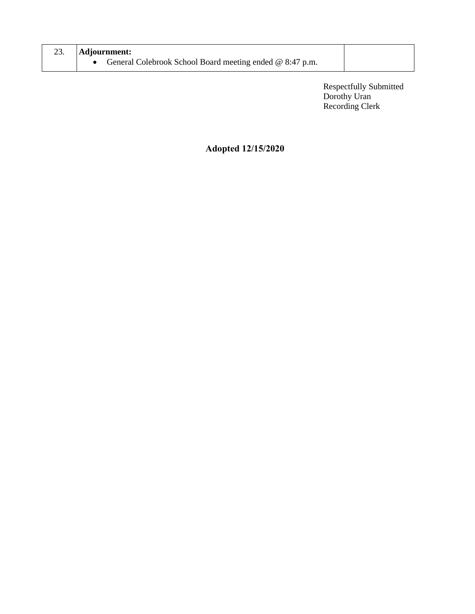| Adjournment: |                                                          |  |
|--------------|----------------------------------------------------------|--|
|              | General Colebrook School Board meeting ended @ 8:47 p.m. |  |

Respectfully Submitted Dorothy Uran Recording Clerk

## **Adopted 12/15/2020**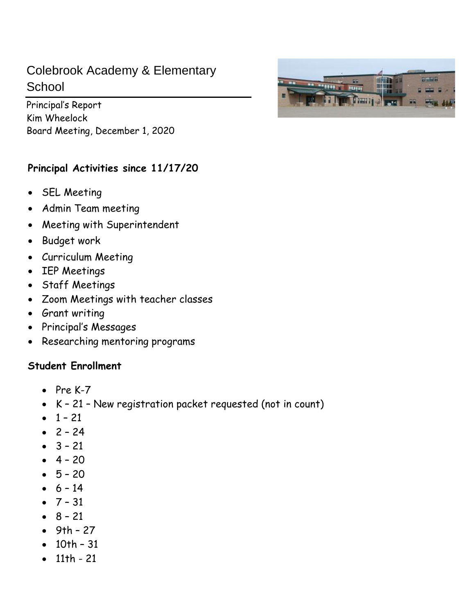# Colebrook Academy & Elementary **School**

Principal's Report Kim Wheelock Board Meeting, December 1, 2020

## **Principal Activities since 11/17/20**

- SEL Meeting
- Admin Team meeting
- Meeting with Superintendent
- Budget work
- Curriculum Meeting
- IEP Meetings
- Staff Meetings
- Zoom Meetings with teacher classes
- Grant writing
- Principal's Messages
- Researching mentoring programs

# **Student Enrollment**

- Pre K-7
- K 21 New registration packet requested (not in count)
- $1 21$
- $2 24$
- $3 21$
- $4 20$
- $5 20$
- $6 14$
- $-7 31$
- $8 21$
- $•$  9th 27
- 10th 31
- 11th 21

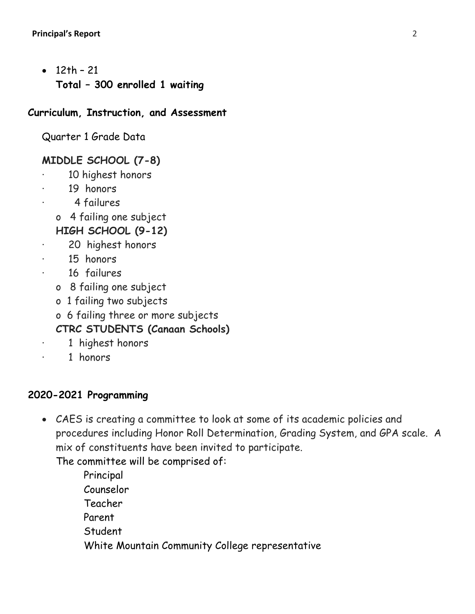• 12th – 21 **Total – 300 enrolled 1 waiting** 

## **Curriculum, Instruction, and Assessment**

Quarter 1 Grade Data

# **MIDDLE SCHOOL (7-8)**

- 10 highest honors
- 19 honors
	- · 4 failures
	- o 4 failing one subject
	- **HIGH SCHOOL (9-12)**
- 20 highest honors
- 15 honors
- 16 failures
	- o 8 failing one subject
	- o 1 failing two subjects
	- o 6 failing three or more subjects

# **CTRC STUDENTS (Canaan Schools)**

- 1 highest honors
- · 1 honors

# **2020-2021 Programming**

• CAES is creating a committee to look at some of its academic policies and procedures including Honor Roll Determination, Grading System, and GPA scale. A mix of constituents have been invited to participate.

The committee will be comprised of:

Principal Counselor Teacher Parent **Student** White Mountain Community College representative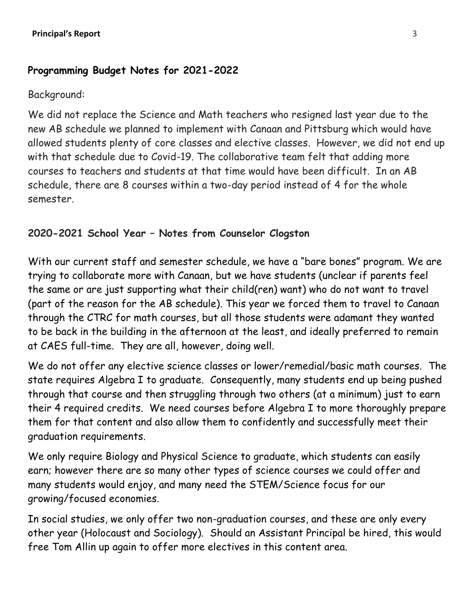## **Programming Budget Notes for 2021-2022**

## Background:

We did not replace the Science and Math teachers who resigned last year due to the new AB schedule we planned to implement with Canaan and Pittsburg which would have allowed students plenty of core classes and elective classes. However, we did not end up with that schedule due to Covid-19. The collaborative team felt that adding more courses to teachers and students at that time would have been difficult. In an AB schedule, there are 8 courses within a two-day period instead of 4 for the whole semester.

# **2020-2021 School Year – Notes from Counselor Clogston**

With our current staff and semester schedule, we have a "bare bones" program. We are trying to collaborate more with Canaan, but we have students (unclear if parents feel the same or are just supporting what their child(ren) want) who do not want to travel (part of the reason for the AB schedule). This year we forced them to travel to Canaan through the CTRC for math courses, but all those students were adamant they wanted to be back in the building in the afternoon at the least, and ideally preferred to remain at CAES full-time. They are all, however, doing well.

We do not offer any elective science classes or lower/remedial/basic math courses. The state requires Algebra I to graduate. Consequently, many students end up being pushed through that course and then struggling through two others (at a minimum) just to earn their 4 required credits. We need courses before Algebra I to more thoroughly prepare them for that content and also allow them to confidently and successfully meet their graduation requirements.

We only require Biology and Physical Science to graduate, which students can easily earn; however there are so many other types of science courses we could offer and many students would enjoy, and many need the STEM/Science focus for our growing/focused economies.

In social studies, we only offer two non-graduation courses, and these are only every other year (Holocaust and Sociology). Should an Assistant Principal be hired, this would free Tom Allin up again to offer more electives in this content area.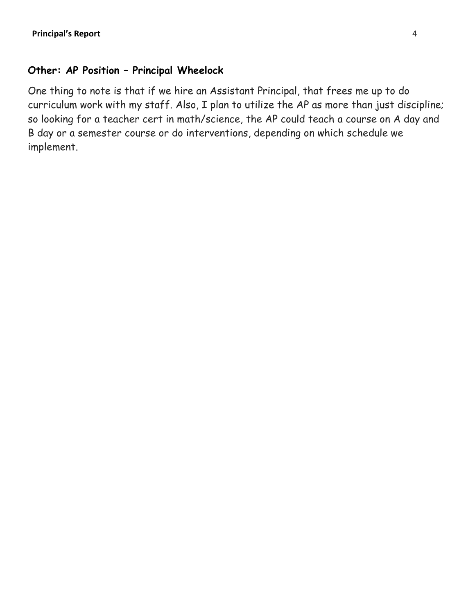## **Other: AP Position – Principal Wheelock**

One thing to note is that if we hire an Assistant Principal, that frees me up to do curriculum work with my staff. Also, I plan to utilize the AP as more than just discipline; so looking for a teacher cert in math/science, the AP could teach a course on A day and B day or a semester course or do interventions, depending on which schedule we implement.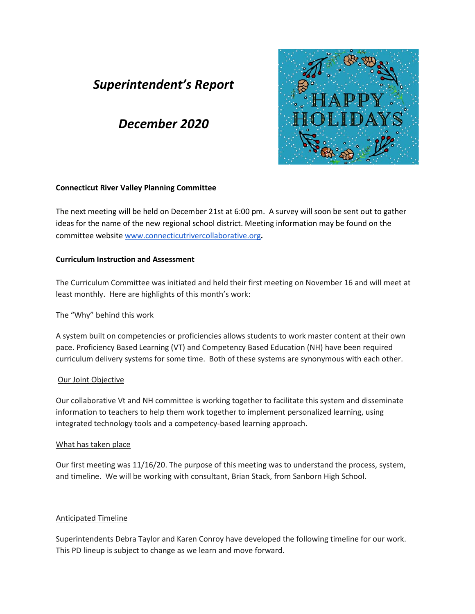# *Superintendent's Report*

# *December 2020*



### **Connecticut River Valley Planning Committee**

The next meeting will be held on December 21st at 6:00 pm. A survey will soon be sent out to gather ideas for the name of the new regional school district. Meeting information may be found on the committee website [www.connecticutrivercollaborative.org](http://www.connecticutrivercollaborative.org/)**.**

### **Curriculum Instruction and Assessment**

The Curriculum Committee was initiated and held their first meeting on November 16 and will meet at least monthly. Here are highlights of this month's work:

## The "Why" behind this work

A system built on competencies or proficiencies allows students to work master content at their own pace. Proficiency Based Learning (VT) and Competency Based Education (NH) have been required curriculum delivery systems for some time. Both of these systems are synonymous with each other.

## Our Joint Objective

Our collaborative Vt and NH committee is working together to facilitate this system and disseminate information to teachers to help them work together to implement personalized learning, using integrated technology tools and a competency-based learning approach.

### What has taken place

Our first meeting was 11/16/20. The purpose of this meeting was to understand the process, system, and timeline. We will be working with consultant, Brian Stack, from Sanborn High School.

## Anticipated Timeline

Superintendents Debra Taylor and Karen Conroy have developed the following timeline for our work. This PD lineup is subject to change as we learn and move forward.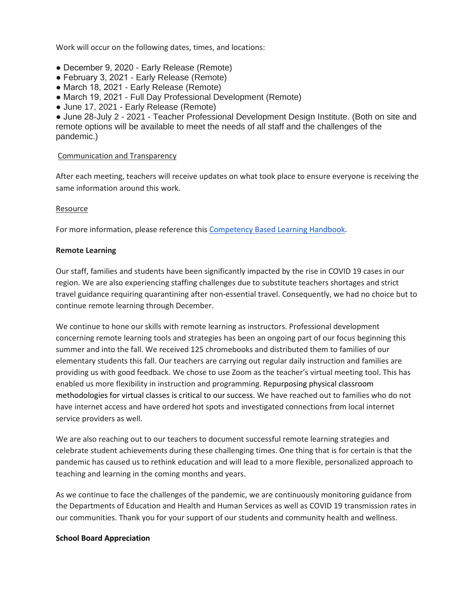Work will occur on the following dates, times, and locations:

- December 9, 2020 Early Release (Remote)
- February 3, 2021 Early Release (Remote)
- March 18, 2021 Early Release (Remote)
- March 19, 2021 Full Day Professional Development (Remote)
- June 17, 2021 Early Release (Remote)

● June 28-July 2 - 2021 - Teacher Professional Development Design Institute. (Both on site and remote options will be available to meet the needs of all staff and the challenges of the pandemic.)

#### Communication and Transparency

After each meeting, teachers will receive updates on what took place to ensure everyone is receiving the same information around this work.

#### Resource

For more information, please reference thi[s](https://drive.google.com/file/d/1wjJ5aOwRuuZ33UHHak1pCY75rds8mAa0/view?usp=sharing) [Competency Based Learning Handbook.](https://drive.google.com/file/d/1wjJ5aOwRuuZ33UHHak1pCY75rds8mAa0/view?usp=sharing)

#### **Remote Learning**

Our staff, families and students have been significantly impacted by the rise in COVID 19 cases in our region. We are also experiencing staffing challenges due to substitute teachers shortages and strict travel guidance requiring quarantining after non-essential travel. Consequently, we had no choice but to continue remote learning through December.

We continue to hone our skills with remote learning as instructors. Professional development concerning remote learning tools and strategies has been an ongoing part of our focus beginning this summer and into the fall. We received 125 chromebooks and distributed them to families of our elementary students this fall. Our teachers are carrying out regular daily instruction and families are providing us with good feedback. We chose to use Zoom as the teacher's virtual meeting tool. This has enabled us more flexibility in instruction and programming. Repurposing physical classroom methodologies for virtual classes is critical to our success. We have reached out to families who do not have internet access and have ordered hot spots and investigated connections from local internet service providers as well.

We are also reaching out to our teachers to document successful remote learning strategies and celebrate student achievements during these challenging times. One thing that is for certain is that the pandemic has caused us to rethink education and will lead to a more flexible, personalized approach to teaching and learning in the coming months and years.

As we continue to face the challenges of the pandemic, we are continuously monitoring guidance from the Departments of Education and Health and Human Services as well as COVID 19 transmission rates in our communities. Thank you for your support of our students and community health and wellness.

#### **School Board Appreciation**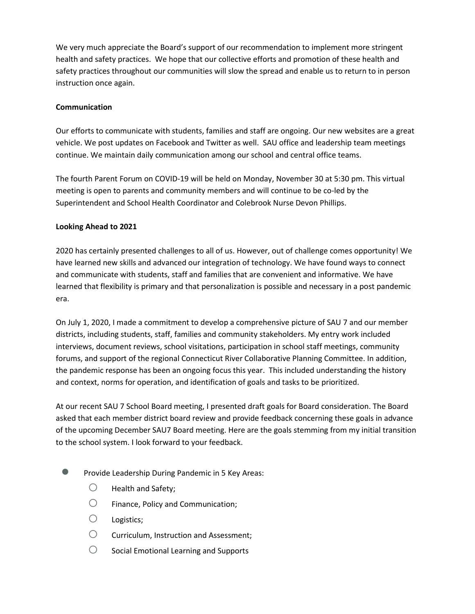We very much appreciate the Board's support of our recommendation to implement more stringent health and safety practices. We hope that our collective efforts and promotion of these health and safety practices throughout our communities will slow the spread and enable us to return to in person instruction once again.

### **Communication**

Our efforts to communicate with students, families and staff are ongoing. Our new websites are a great vehicle. We post updates on Facebook and Twitter as well. SAU office and leadership team meetings continue. We maintain daily communication among our school and central office teams.

The fourth Parent Forum on COVID-19 will be held on Monday, November 30 at 5:30 pm. This virtual meeting is open to parents and community members and will continue to be co-led by the Superintendent and School Health Coordinator and Colebrook Nurse Devon Phillips.

### **Looking Ahead to 2021**

2020 has certainly presented challenges to all of us. However, out of challenge comes opportunity! We have learned new skills and advanced our integration of technology. We have found ways to connect and communicate with students, staff and families that are convenient and informative. We have learned that flexibility is primary and that personalization is possible and necessary in a post pandemic era.

On July 1, 2020, I made a commitment to develop a comprehensive picture of SAU 7 and our member districts, including students, staff, families and community stakeholders. My entry work included interviews, document reviews, school visitations, participation in school staff meetings, community forums, and support of the regional Connecticut River Collaborative Planning Committee. In addition, the pandemic response has been an ongoing focus this year. This included understanding the history and context, norms for operation, and identification of goals and tasks to be prioritized.

At our recent SAU 7 School Board meeting, I presented draft goals for Board consideration. The Board asked that each member district board review and provide feedback concerning these goals in advance of the upcoming December SAU7 Board meeting. Here are the goals stemming from my initial transition to the school system. I look forward to your feedback.

- Provide Leadership During Pandemic in 5 Key Areas:
	- $\bigcirc$  Health and Safety;
	- $\bigcirc$  Finance, Policy and Communication;
	- Logistics;
	- Curriculum, Instruction and Assessment;
	- $\bigcirc$  Social Emotional Learning and Supports